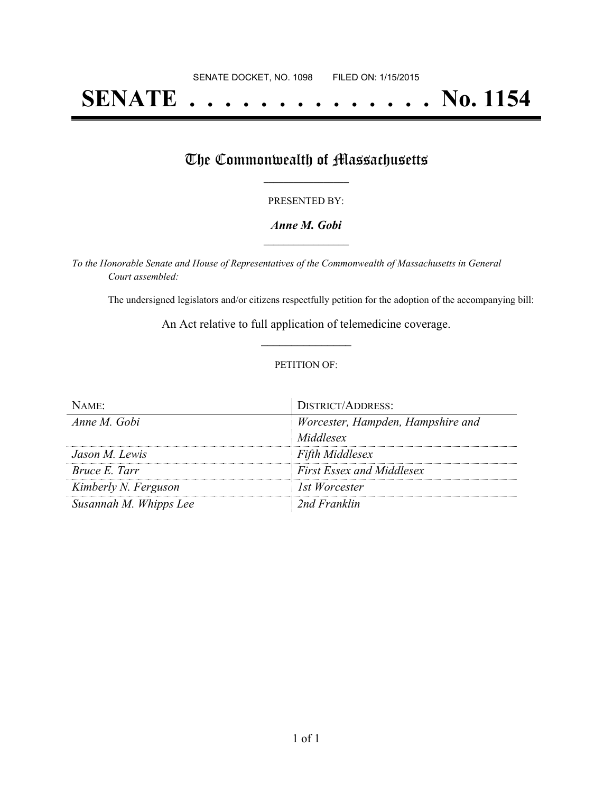# **SENATE . . . . . . . . . . . . . . No. 1154**

## The Commonwealth of Massachusetts

#### PRESENTED BY:

#### *Anne M. Gobi* **\_\_\_\_\_\_\_\_\_\_\_\_\_\_\_\_\_**

*To the Honorable Senate and House of Representatives of the Commonwealth of Massachusetts in General Court assembled:*

The undersigned legislators and/or citizens respectfully petition for the adoption of the accompanying bill:

An Act relative to full application of telemedicine coverage. **\_\_\_\_\_\_\_\_\_\_\_\_\_\_\_**

#### PETITION OF:

| $N$ AME:               | DISTRICT/ADDRESS:                 |
|------------------------|-----------------------------------|
| Anne M. Gobi           | Worcester, Hampden, Hampshire and |
|                        | Middlesex                         |
| Jason M. Lewis         | <b>Fifth Middlesex</b>            |
| <i>Bruce E. Tarr</i>   | <b>First Essex and Middlesex</b>  |
| Kimberly N. Ferguson   | 1st Worcester                     |
| Susannah M. Whipps Lee | 2nd Franklin                      |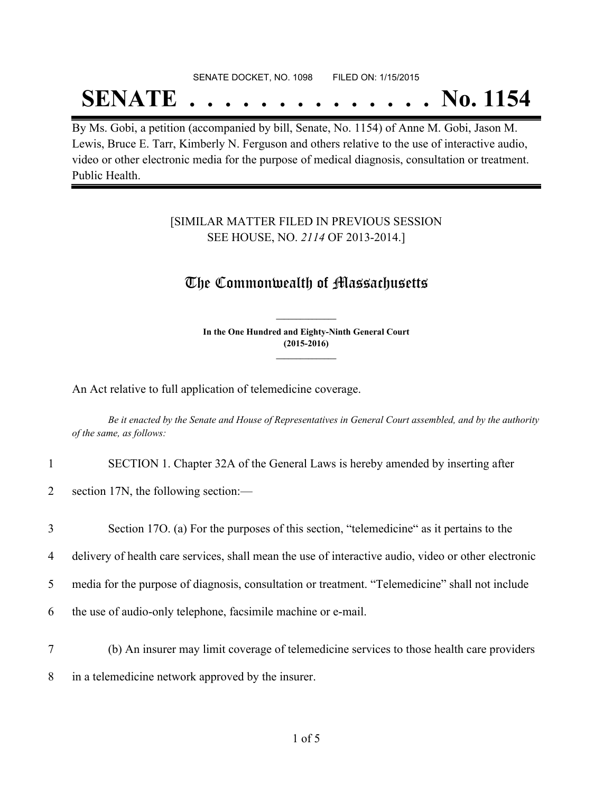## SENATE DOCKET, NO. 1098 FILED ON: 1/15/2015

## **SENATE . . . . . . . . . . . . . . No. 1154**

By Ms. Gobi, a petition (accompanied by bill, Senate, No. 1154) of Anne M. Gobi, Jason M. Lewis, Bruce E. Tarr, Kimberly N. Ferguson and others relative to the use of interactive audio, video or other electronic media for the purpose of medical diagnosis, consultation or treatment. Public Health.

### [SIMILAR MATTER FILED IN PREVIOUS SESSION SEE HOUSE, NO. *2114* OF 2013-2014.]

## The Commonwealth of Massachusetts

**In the One Hundred and Eighty-Ninth General Court (2015-2016) \_\_\_\_\_\_\_\_\_\_\_\_\_\_\_**

**\_\_\_\_\_\_\_\_\_\_\_\_\_\_\_**

An Act relative to full application of telemedicine coverage.

Be it enacted by the Senate and House of Representatives in General Court assembled, and by the authority *of the same, as follows:*

- 1 SECTION 1. Chapter 32A of the General Laws is hereby amended by inserting after
- 2 section 17N, the following section:—
- 3 Section 17O. (a) For the purposes of this section, "telemedicine" as it pertains to the
- 4 delivery of health care services, shall mean the use of interactive audio, video or other electronic
- 5 media for the purpose of diagnosis, consultation or treatment. "Telemedicine" shall not include
- 6 the use of audio-only telephone, facsimile machine or e-mail.
- 7 (b) An insurer may limit coverage of telemedicine services to those health care providers 8 in a telemedicine network approved by the insurer.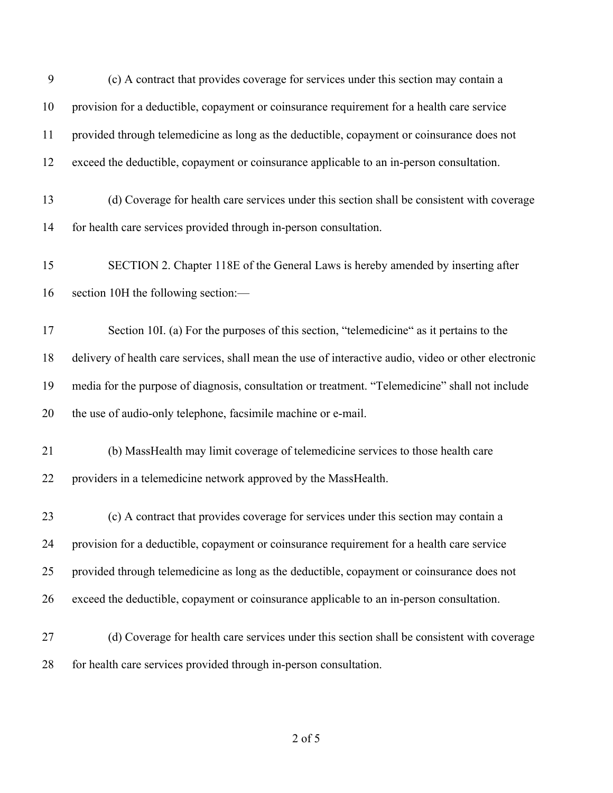| 9  | (c) A contract that provides coverage for services under this section may contain a                  |
|----|------------------------------------------------------------------------------------------------------|
| 10 | provision for a deductible, copayment or coinsurance requirement for a health care service           |
| 11 | provided through telemedicine as long as the deductible, copayment or coinsurance does not           |
| 12 | exceed the deductible, copayment or coinsurance applicable to an in-person consultation.             |
| 13 | (d) Coverage for health care services under this section shall be consistent with coverage           |
| 14 | for health care services provided through in-person consultation.                                    |
| 15 | SECTION 2. Chapter 118E of the General Laws is hereby amended by inserting after                     |
| 16 | section 10H the following section:-                                                                  |
| 17 | Section 10I. (a) For the purposes of this section, "telemedicine" as it pertains to the              |
| 18 | delivery of health care services, shall mean the use of interactive audio, video or other electronic |
| 19 | media for the purpose of diagnosis, consultation or treatment. "Telemedicine" shall not include      |
| 20 | the use of audio-only telephone, facsimile machine or e-mail.                                        |
| 21 | (b) MassHealth may limit coverage of telemedicine services to those health care                      |
| 22 | providers in a telemedicine network approved by the MassHealth.                                      |
| 23 | (c) A contract that provides coverage for services under this section may contain a                  |
| 24 | provision for a deductible, copayment or coinsurance requirement for a health care service           |
| 25 | provided through telemedicine as long as the deductible, copayment or coinsurance does not           |
| 26 | exceed the deductible, copayment or coinsurance applicable to an in-person consultation.             |
| 27 | (d) Coverage for health care services under this section shall be consistent with coverage           |
| 28 | for health care services provided through in-person consultation.                                    |

of 5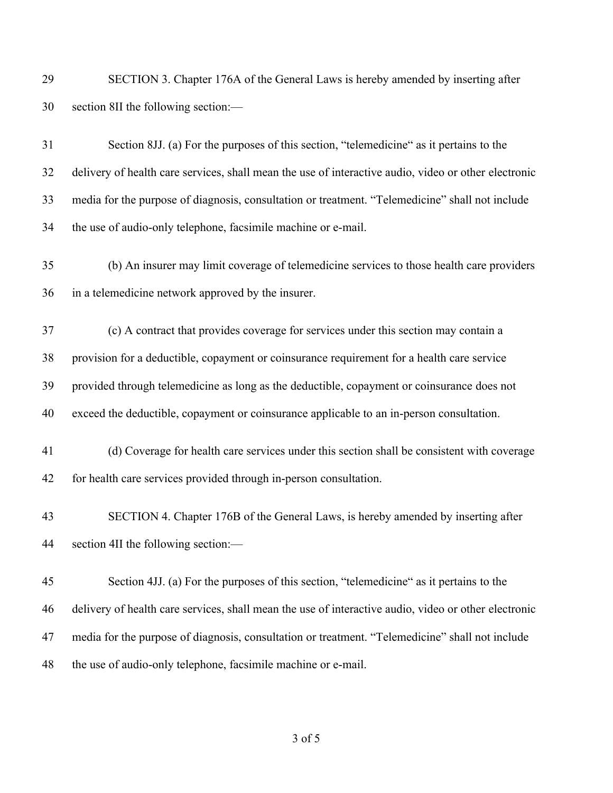| 29 | SECTION 3. Chapter 176A of the General Laws is hereby amended by inserting after                     |
|----|------------------------------------------------------------------------------------------------------|
| 30 | section 8II the following section:-                                                                  |
| 31 | Section 8JJ. (a) For the purposes of this section, "telemedicine" as it pertains to the              |
| 32 | delivery of health care services, shall mean the use of interactive audio, video or other electronic |
| 33 | media for the purpose of diagnosis, consultation or treatment. "Telemedicine" shall not include      |
| 34 | the use of audio-only telephone, facsimile machine or e-mail.                                        |
| 35 | (b) An insurer may limit coverage of telemedicine services to those health care providers            |
| 36 | in a telemedicine network approved by the insurer.                                                   |
| 37 | (c) A contract that provides coverage for services under this section may contain a                  |
| 38 | provision for a deductible, copayment or coinsurance requirement for a health care service           |
| 39 | provided through telemedicine as long as the deductible, copayment or coinsurance does not           |
| 40 | exceed the deductible, copayment or coinsurance applicable to an in-person consultation.             |
| 41 | (d) Coverage for health care services under this section shall be consistent with coverage           |
| 42 | for health care services provided through in-person consultation.                                    |
| 43 | SECTION 4. Chapter 176B of the General Laws, is hereby amended by inserting after                    |
| 44 | section 4II the following section:-                                                                  |
| 45 | Section 4JJ. (a) For the purposes of this section, "telemedicine" as it pertains to the              |
| 46 | delivery of health care services, shall mean the use of interactive audio, video or other electronic |
| 47 | media for the purpose of diagnosis, consultation or treatment. "Telemedicine" shall not include      |
| 48 | the use of audio-only telephone, facsimile machine or e-mail.                                        |

of 5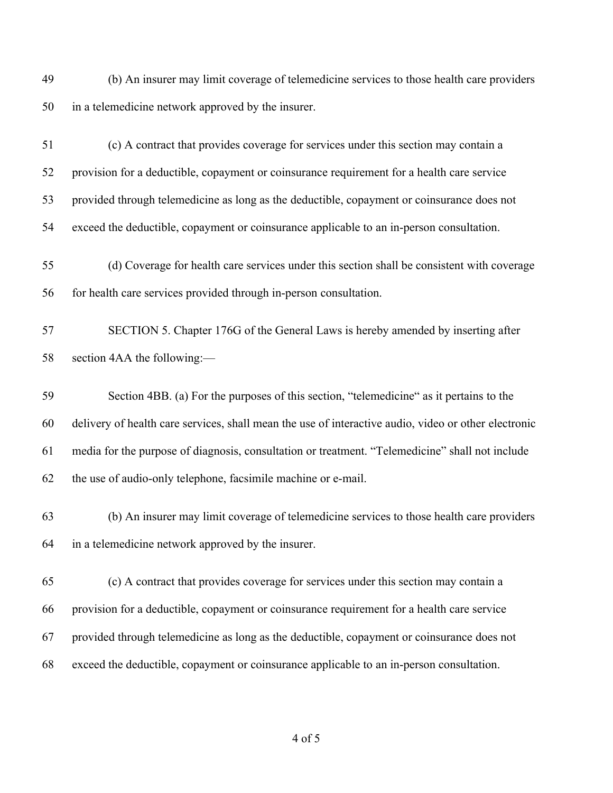(b) An insurer may limit coverage of telemedicine services to those health care providers in a telemedicine network approved by the insurer.

 (c) A contract that provides coverage for services under this section may contain a provision for a deductible, copayment or coinsurance requirement for a health care service provided through telemedicine as long as the deductible, copayment or coinsurance does not exceed the deductible, copayment or coinsurance applicable to an in-person consultation.

 (d) Coverage for health care services under this section shall be consistent with coverage for health care services provided through in-person consultation.

 SECTION 5. Chapter 176G of the General Laws is hereby amended by inserting after section 4AA the following:—

 Section 4BB. (a) For the purposes of this section, "telemedicine" as it pertains to the delivery of health care services, shall mean the use of interactive audio, video or other electronic media for the purpose of diagnosis, consultation or treatment. "Telemedicine" shall not include the use of audio-only telephone, facsimile machine or e-mail.

 (b) An insurer may limit coverage of telemedicine services to those health care providers in a telemedicine network approved by the insurer.

 (c) A contract that provides coverage for services under this section may contain a provision for a deductible, copayment or coinsurance requirement for a health care service provided through telemedicine as long as the deductible, copayment or coinsurance does not exceed the deductible, copayment or coinsurance applicable to an in-person consultation.

of 5